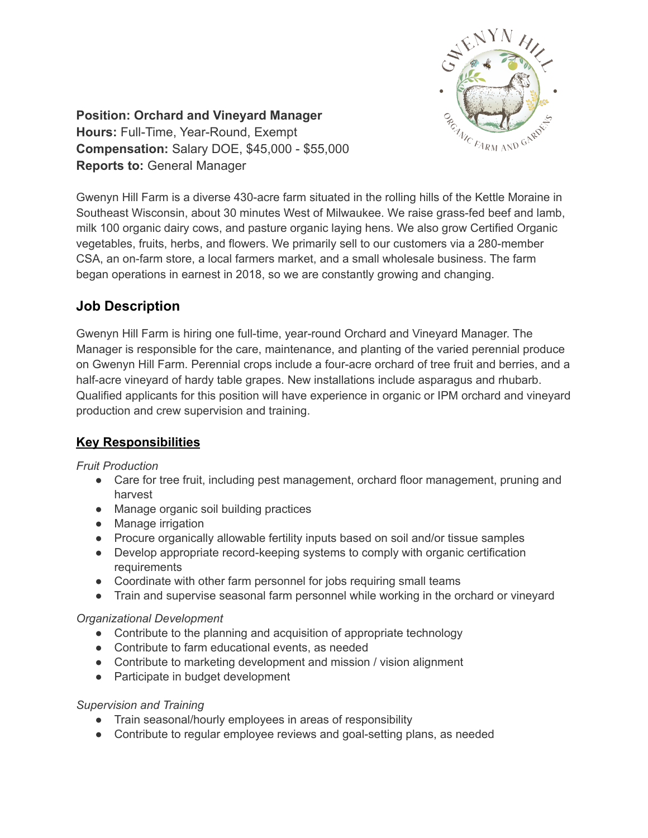

**Position: Orchard and Vineyard Manager Hours:** Full-Time, Year-Round, Exempt **Compensation:** Salary DOE, \$45,000 - \$55,000 **Reports to:** General Manager

Gwenyn Hill Farm is a diverse 430-acre farm situated in the rolling hills of the Kettle Moraine in Southeast Wisconsin, about 30 minutes West of Milwaukee. We raise grass-fed beef and lamb, milk 100 organic dairy cows, and pasture organic laying hens. We also grow Certified Organic vegetables, fruits, herbs, and flowers. We primarily sell to our customers via a 280-member CSA, an on-farm store, a local farmers market, and a small wholesale business. The farm began operations in earnest in 2018, so we are constantly growing and changing.

## **Job Description**

Gwenyn Hill Farm is hiring one full-time, year-round Orchard and Vineyard Manager. The Manager is responsible for the care, maintenance, and planting of the varied perennial produce on Gwenyn Hill Farm. Perennial crops include a four-acre orchard of tree fruit and berries, and a half-acre vineyard of hardy table grapes. New installations include asparagus and rhubarb. Qualified applicants for this position will have experience in organic or IPM orchard and vineyard production and crew supervision and training.

### **Key Responsibilities**

#### *Fruit Production*

- Care for tree fruit, including pest management, orchard floor management, pruning and harvest
- Manage organic soil building practices
- Manage irrigation
- Procure organically allowable fertility inputs based on soil and/or tissue samples
- Develop appropriate record-keeping systems to comply with organic certification requirements
- Coordinate with other farm personnel for jobs requiring small teams
- Train and supervise seasonal farm personnel while working in the orchard or vineyard

#### *Organizational Development*

- Contribute to the planning and acquisition of appropriate technology
- Contribute to farm educational events, as needed
- Contribute to marketing development and mission / vision alignment
- Participate in budget development

#### *Supervision and Training*

- Train seasonal/hourly employees in areas of responsibility
- Contribute to regular employee reviews and goal-setting plans, as needed